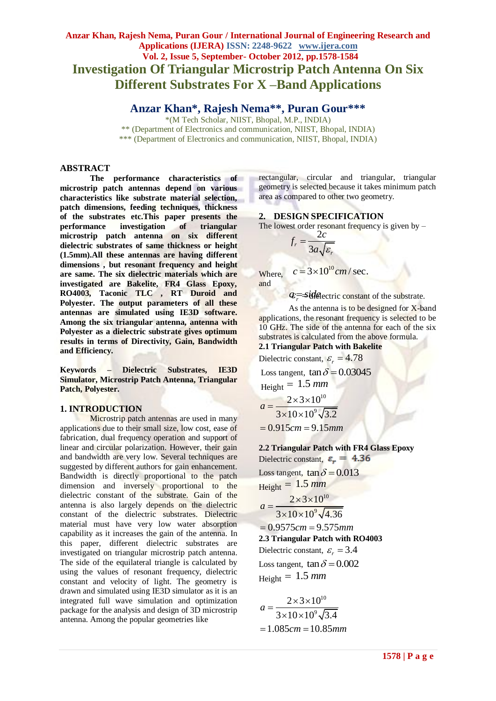# **Anzar Khan, Rajesh Nema, Puran Gour / International Journal of Engineering Research and Applications (IJERA) ISSN: 2248-9622 www.ijera.com Vol. 2, Issue 5, September- October 2012, pp.1578-1584 Investigation Of Triangular Microstrip Patch Antenna On Six Different Substrates For X –Band Applications**

**Anzar Khan\*, Rajesh Nema\*\*, Puran Gour\*\*\***

\*(M Tech Scholar, NIIST, Bhopal, M.P., INDIA) \*\* (Department of Electronics and communication, NIIST, Bhopal, INDIA) \*\*\* (Department of Electronics and communication, NIIST, Bhopal, INDIA)

### **ABSTRACT**

**The performance characteristics of microstrip patch antennas depend on various characteristics like substrate material selection, patch dimensions, feeding techniques, thickness of the substrates etc.This paper presents the performance investigation of triangular microstrip patch antenna on six different dielectric substrates of same thickness or height (1.5mm).All these antennas are having different dimensions , but resonant frequency and height are same. The six dielectric materials which are investigated are Bakelite, FR4 Glass Epoxy, RO4003, Taconic TLC , RT Duroid and Polyester. The output parameters of all these antennas are simulated using IE3D software. Among the six triangular antenna, antenna with Polyester as a dielectric substrate gives optimum results in terms of Directivity, Gain, Bandwidth and Efficiency.**

**Keywords – Dielectric Substrates, IE3D Simulator, Microstrip Patch Antenna, Triangular Patch, Polyester.**

#### **1. INTRODUCTION**

Microstrip patch antennas are used in many applications due to their small size, low cost, ease of fabrication, dual frequency operation and support of linear and circular polarization. However, their gain and bandwidth are very low. Several techniques are suggested by different authors for gain enhancement. Bandwidth is directly proportional to the patch dimension and inversely proportional to the dielectric constant of the substrate. Gain of the antenna is also largely depends on the dielectric constant of the dielectric substrates. Dielectric material must have very low water absorption capability as it increases the gain of the antenna. In this paper, different dielectric substrates are investigated on triangular microstrip patch antenna. The side of the equilateral triangle is calculated by using the values of resonant frequency, dielectric constant and velocity of light. The geometry is drawn and simulated using IE3D simulator as it is an integrated full wave simulation and optimization package for the analysis and design of 3D microstrip antenna. Among the popular geometries like

rectangular, circular and triangular, triangular geometry is selected because it takes minimum patch area as compared to other two geometry.

## **2. DESIGN SPECIFICATION**

The lowest order resonant frequency is given by  $-$ 

$$
=\frac{2c}{3a\sqrt{\varepsilon_r}}
$$

*r f*

Where,  $c = 3 \times 10^{10} \text{cm}$  / sec. and

*a* <del>*r*</del> *a* side constant of the substrate.

As the antenna is to be designed for X-band applications, the resonant frequency is selected to be 10 GHz. The side of the antenna for each of the six substrates is calculated from the above formula.

**2.1 Triangular Patch with Bakelite**

Dielectric constant,  $\varepsilon_r = 4.78$ Loss tangent,  $\tan \delta = 0.03045$  $Height = 1.5$  mm 10 9  $2 \times 3 \times 10$  $a = \frac{2 \times 3 \times 10^{10}}{3 \times 10 \times 10^9 \sqrt{3.2}}$  $= 0.915$ *cm* = 9.15*mm* 

## **2.2 Triangular Patch with FR4 Glass Epoxy**

Dielectric constant,  $\varepsilon_r = 4.36$ Loss tangent,  $\tan \delta = 0.013$  $Height = 1.5$  mm 10 9  $2 \times 3 \times 10$  $a = \frac{2 \times 3 \times 10^{10}}{3 \times 10 \times 10^9 \sqrt{4.36}}$  $= 0.9575 cm = 9.575 mm$ **2.3 Triangular Patch with RO4003** Dielectric constant,  $\varepsilon_r = 3.4$ 

Loss tangent,  $\tan \delta = 0.002$  $Height = 1.5$  mm

$$
a = \frac{2 \times 3 \times 10^{10}}{3 \times 10 \times 10^{9} \sqrt{3.4}}
$$
  
= 1.085cm = 10.85mm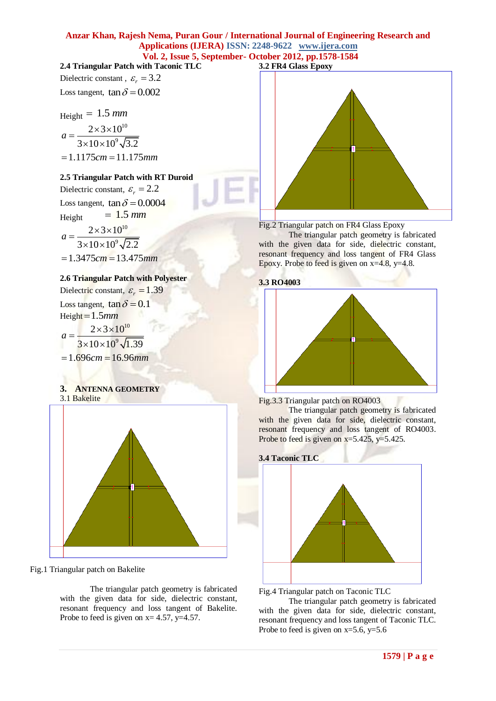# **2.4 Triangular Patch with Taconic TLC**

Dielectric constant,  $\varepsilon_r = 3.2$ Loss tangent,  $\tan \delta = 0.002$ 

Height = 1.5 mm  
\n
$$
a = \frac{2 \times 3 \times 10^{10}}{3 \times 10 \times 10^{9} \sqrt{3.2}}
$$
\n= 1.1175 cm = 11.175 mm

### **2.5 Triangular Patch with RT Duroid**

Dielectric constant,  $\varepsilon_r = 2.2$ Loss tangent,  $\tan \delta = 0.0004$  $Height = 1.5$   $mm$ 10  $2 \times 3 \times 10$  $a = \frac{2 \times 3 \times 10^{10}}{3 \times 10 \times 10^9 \sqrt{2.2}}$ 

9  $= 1.3475 cm = 13.475 mm$ 

### **2.6 Triangular Patch with Polyester**

Dielectric constant,  $\varepsilon_r = 1.39$ Loss tangent,  $\tan \delta = 0.1$ Height 1.5*mm* 10 9  $2 \times 3 \times 10$  $a = \frac{2 \times 3 \times 10^{10}}{3 \times 10 \times 10^9 \sqrt{1.39}}$ = 1.696*cm* = 16.96*mm* 

### **3. ANTENNA GEOMETRY** 3.1 Bakelite



Fig.1 Triangular patch on Bakelite

The triangular patch geometry is fabricated with the given data for side, dielectric constant, resonant frequency and loss tangent of Bakelite. Probe to feed is given on  $x=4.57$ ,  $y=4.57$ .



Fig.2 Triangular patch on FR4 Glass Epoxy

The triangular patch geometry is fabricated with the given data for side, dielectric constant, resonant frequency and loss tangent of FR4 Glass Epoxy. Probe to feed is given on  $x=4.8$ ,  $y=4.8$ .

### **3.3 RO4003**





The triangular patch geometry is fabricated with the given data for side, dielectric constant, resonant frequency and loss tangent of RO4003. Probe to feed is given on  $x=5.425$ ,  $y=5.425$ .



Fig.4 Triangular patch on Taconic TLC

The triangular patch geometry is fabricated with the given data for side, dielectric constant, resonant frequency and loss tangent of Taconic TLC. Probe to feed is given on  $x=5.6$ ,  $y=5.6$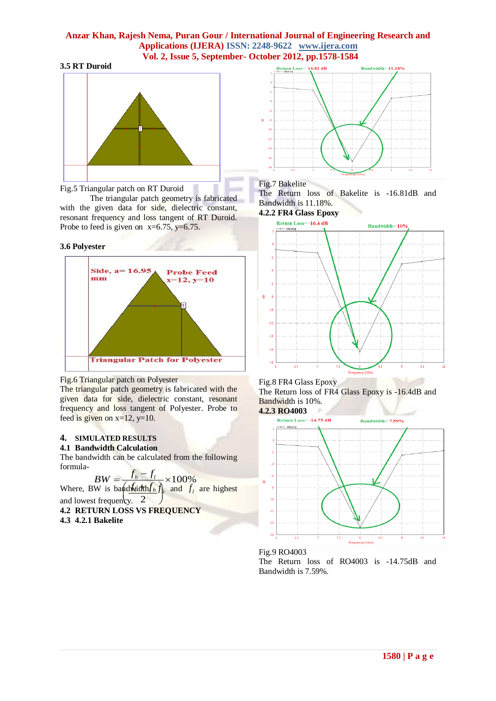#### **3.5 RT Duroid**



Fig.5 Triangular patch on RT Duroid

The triangular patch geometry is fabricated with the given data for side, dielectric constant, resonant frequency and loss tangent of RT Duroid. Probe to feed is given on  $x=6.75$ ,  $y=6.75$ .

#### **3.6 Polyester**



#### Fig.6 Triangular patch on Polyester

The triangular patch geometry is fabricated with the given data for side, dielectric constant, resonant frequency and loss tangent of Polyester. Probe to feed is given on  $x=12$ ,  $y=10$ .

# **4. SIMULATED RESULTS**

**4.1 Bandwidth Calculation**

The bandwidth can be calculated from the following formula- $\epsilon$ 

$$
BW = \frac{f_h - f_l}{\sqrt{2\pi}} \times 100\%
$$

*BW* =  $\frac{f_h - f_l}{\sqrt{2\pi i}} \times 100\%$ <br>
Where, BW is band which  $f_h f_h$  and  $f_l$  are highest and lowest frequency.  $2$  $\begin{pmatrix} \frac{d \sin(\pi t)}{h} & \sin(\pi t) \\ \cos(\pi t) & \cos(\pi t) \end{pmatrix}$ 

**4.2 RETURN LOSS VS FREQUENCY**

**4.3 4.2.1 Bakelite**



### Fig.7 Bakelite

The Return loss of Bakelite is -16.81dB and Bandwidth is 11.18%.

### **4.2.2 FR4 Glass Epoxy**



Fig.8 FR4 Glass Epoxy The Return loss of FR4 Glass Epoxy is -16.4dB and Bandwidth is 10%.

**4.2.3 RO4003**



Fig.9 RO4003

The Return loss of RO4003 is -14.75dB and Bandwidth is 7.59%.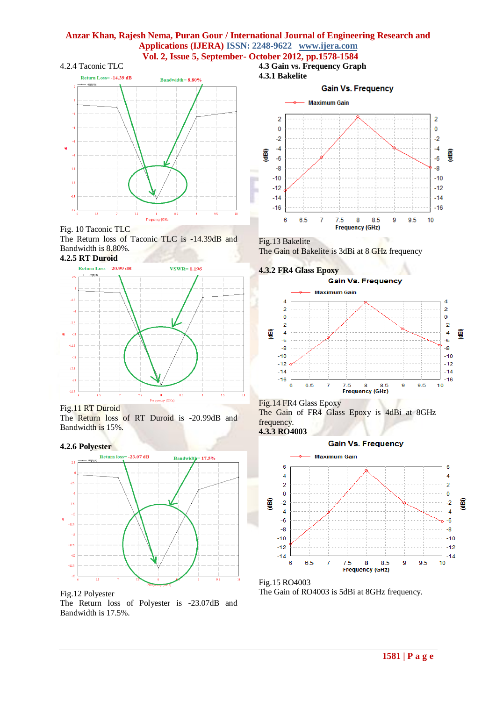#### 4.2.4 Taconic TLC



Fig. 10 Taconic TLC The Return loss of Taconic TLC is -14.39dB and Bandwidth is 8.80%. **4.2.5 RT Duroid**



Fig.11 RT Duroid

The Return loss of RT Duroid is -20.99dB and Bandwidth is 15%.

#### **4.2.6 Polyester**



Fig.12 Polyester The Return loss of Polyester is -23.07dB and Bandwidth is 17.5%.



Fig.13 Bakelite The Gain of Bakelite is 3dBi at 8 GHz frequency

**4.3.2 FR4 Glass Epoxy**



Fig.14 FR4 Glass Epoxy The Gain of FR4 Glass Epoxy is 4dBi at 8GHz frequency. **4.3.3 RO4003**



Fig.15 RO4003 The Gain of RO4003 is 5dBi at 8GHz frequency.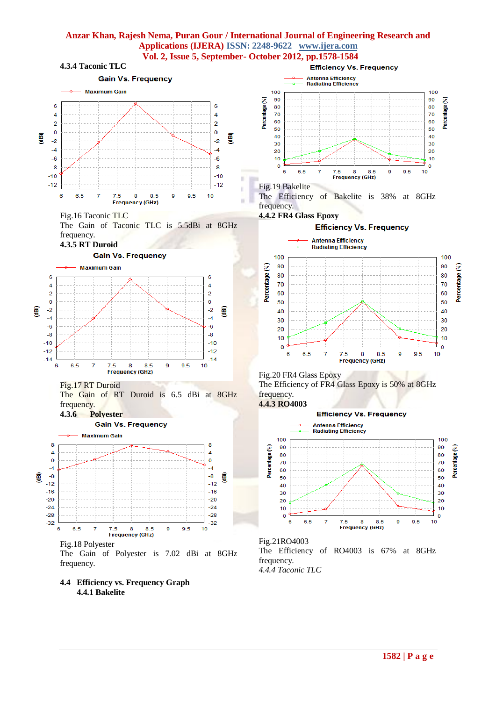

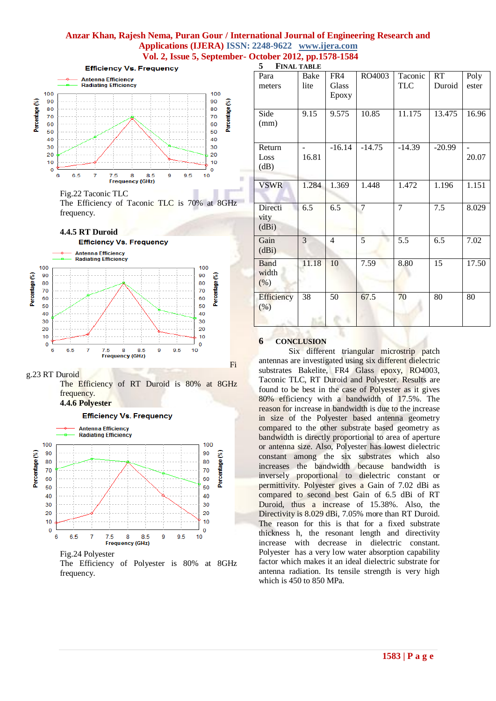×

**5 FINAL TABLE**



Fig.22 Taconic TLC

The Efficiency of Taconic TLC is 70% at 8GHz frequency.





g.23 RT Duroid

The Efficiency of RT Duroid is 80% at 8GHz frequency.

**4.4.6 Polyester**



The Efficiency of Polyester is 80% at 8GHz frequency.

| Para<br>meters               | Bake<br>lite | FR4<br>Glass<br>Epoxy | RO4003         | Taconic<br>TLC | <b>RT</b><br>Duroid | Poly<br>ester |
|------------------------------|--------------|-----------------------|----------------|----------------|---------------------|---------------|
| Side<br>(mm)                 | 9.15         | 9.575                 | 10.85          | 11.175         | 13.475              | 16.96         |
| Return<br>Loss<br>(dB)       | 16.81        | $-16.14$              | $-14.75$       | $-14.39$       | $-20.99$            | 20.07         |
| <b>VSWR</b>                  | 1.284        | 1.369                 | 1.448          | 1.472          | 1.196               | 1.151         |
| Directi<br>vity<br>(dBi)     | 6.5          | 6.5                   | $\overline{7}$ | 7              | 7.5                 | 8.029         |
| Gain<br>(dBi)                | 3            | $\overline{4}$        | 5              | 5.5            | 6.5                 | 7.02          |
| <b>Band</b><br>width<br>(% ) | 11.18        | 10                    | 7.59           | 8.80           | $\overline{15}$     | 17.50         |
| Efficiency<br>(%)            | 38           | 50                    | 67.5           | 70             | 80                  | 80            |

#### **6 CONCLUSION**

Fi

Six different triangular microstrip patch antennas are investigated using six different dielectric substrates Bakelite, FR4 Glass epoxy, RO4003, Taconic TLC, RT Duroid and Polyester. Results are found to be best in the case of Polyester as it gives 80% efficiency with a bandwidth of 17.5%. The reason for increase in bandwidth is due to the increase in size of the Polyester based antenna geometry compared to the other substrate based geometry as bandwidth is directly proportional to area of aperture or antenna size. Also, Polyester has lowest dielectric constant among the six substrates which also increases the bandwidth because bandwidth is inversely proportional to dielectric constant or permittivity. Polyester gives a Gain of 7.02 dBi as compared to second best Gain of 6.5 dBi of RT Duroid, thus a increase of 15.38%. Also, the Directivity is 8.029 dBi, 7.05% more than RT Duroid. The reason for this is that for a fixed substrate thickness h, the resonant length and directivity increase with decrease in dielectric constant. Polyester has a very low water absorption capability factor which makes it an ideal dielectric substrate for antenna radiation. Its tensile strength is very high which is 450 to 850 MPa.